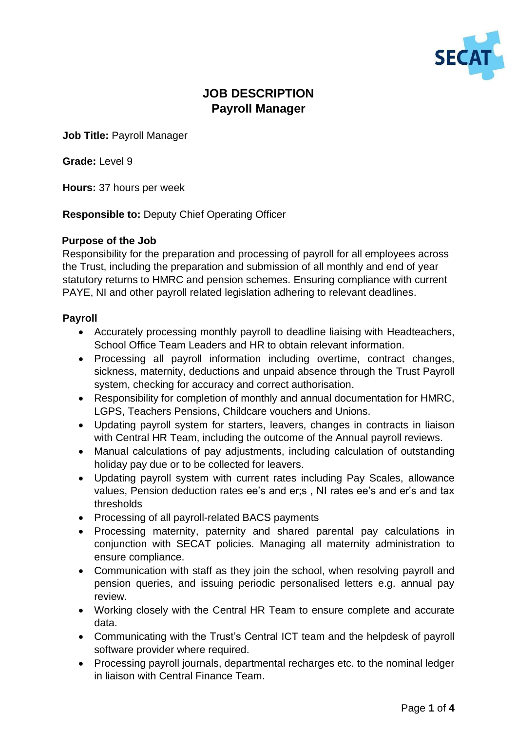

# **JOB DESCRIPTION Payroll Manager**

**Job Title:** Payroll Manager

**Grade:** Level 9

**Hours:** 37 hours per week

**Responsible to:** Deputy Chief Operating Officer

### **Purpose of the Job**

Responsibility for the preparation and processing of payroll for all employees across the Trust, including the preparation and submission of all monthly and end of year statutory returns to HMRC and pension schemes. Ensuring compliance with current PAYE, NI and other payroll related legislation adhering to relevant deadlines.

#### **Payroll**

- Accurately processing monthly payroll to deadline liaising with Headteachers, School Office Team Leaders and HR to obtain relevant information.
- Processing all payroll information including overtime, contract changes, sickness, maternity, deductions and unpaid absence through the Trust Payroll system, checking for accuracy and correct authorisation.
- Responsibility for completion of monthly and annual documentation for HMRC, LGPS, Teachers Pensions, Childcare vouchers and Unions.
- Updating payroll system for starters, leavers, changes in contracts in liaison with Central HR Team, including the outcome of the Annual payroll reviews.
- Manual calculations of pay adjustments, including calculation of outstanding holiday pay due or to be collected for leavers.
- Updating payroll system with current rates including Pay Scales, allowance values, Pension deduction rates ee's and er;s , NI rates ee's and er's and tax thresholds
- Processing of all payroll-related BACS payments
- Processing maternity, paternity and shared parental pay calculations in conjunction with SECAT policies. Managing all maternity administration to ensure compliance.
- Communication with staff as they join the school, when resolving payroll and pension queries, and issuing periodic personalised letters e.g. annual pay review.
- Working closely with the Central HR Team to ensure complete and accurate data.
- Communicating with the Trust's Central ICT team and the helpdesk of payroll software provider where required.
- Processing payroll journals, departmental recharges etc. to the nominal ledger in liaison with Central Finance Team.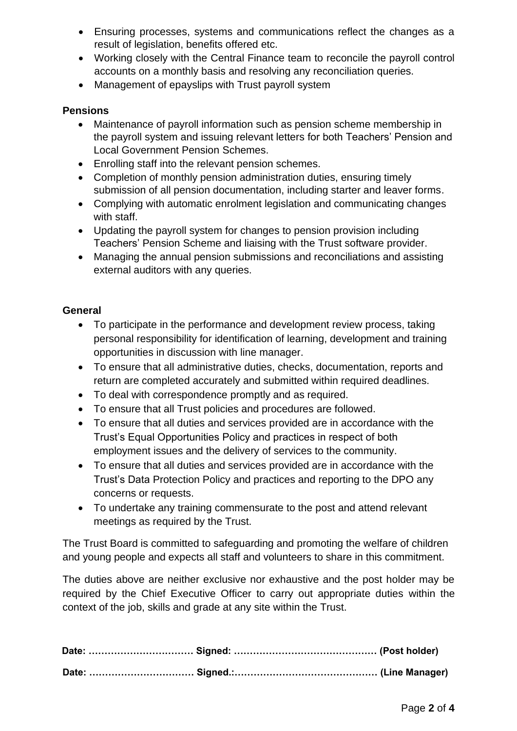- Ensuring processes, systems and communications reflect the changes as a result of legislation, benefits offered etc.
- Working closely with the Central Finance team to reconcile the payroll control accounts on a monthly basis and resolving any reconciliation queries.
- Management of epayslips with Trust payroll system

# **Pensions**

- Maintenance of payroll information such as pension scheme membership in the payroll system and issuing relevant letters for both Teachers' Pension and Local Government Pension Schemes.
- Enrolling staff into the relevant pension schemes.
- Completion of monthly pension administration duties, ensuring timely submission of all pension documentation, including starter and leaver forms.
- Complying with automatic enrolment legislation and communicating changes with staff.
- Updating the payroll system for changes to pension provision including Teachers' Pension Scheme and liaising with the Trust software provider.
- Managing the annual pension submissions and reconciliations and assisting external auditors with any queries.

# **General**

- To participate in the performance and development review process, taking personal responsibility for identification of learning, development and training opportunities in discussion with line manager.
- To ensure that all administrative duties, checks, documentation, reports and return are completed accurately and submitted within required deadlines.
- To deal with correspondence promptly and as required.
- To ensure that all Trust policies and procedures are followed.
- To ensure that all duties and services provided are in accordance with the Trust's Equal Opportunities Policy and practices in respect of both employment issues and the delivery of services to the community.
- To ensure that all duties and services provided are in accordance with the Trust's Data Protection Policy and practices and reporting to the DPO any concerns or requests.
- To undertake any training commensurate to the post and attend relevant meetings as required by the Trust.

The Trust Board is committed to safeguarding and promoting the welfare of children and young people and expects all staff and volunteers to share in this commitment.

The duties above are neither exclusive nor exhaustive and the post holder may be required by the Chief Executive Officer to carry out appropriate duties within the context of the job, skills and grade at any site within the Trust.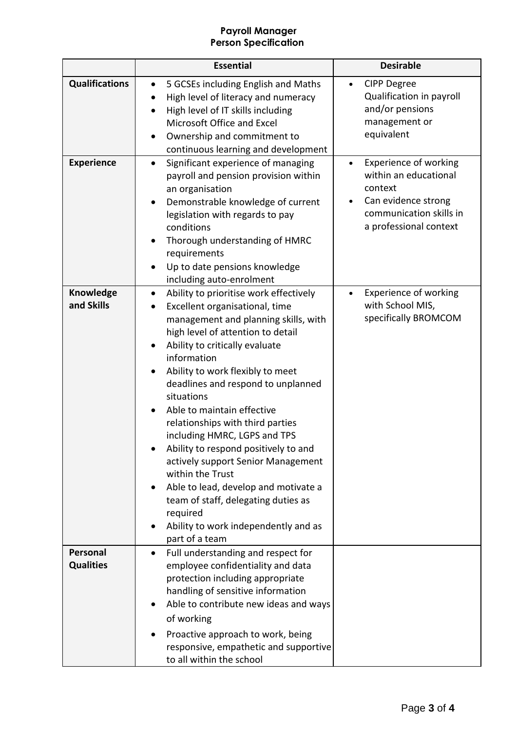## **Payroll Manager Person Specification**

|                              | <b>Essential</b>                                                                                                                                                                                                                                                                                                                                                                                                                                                                                                                                                                                                                                                     | <b>Desirable</b>                                                                                                                                          |
|------------------------------|----------------------------------------------------------------------------------------------------------------------------------------------------------------------------------------------------------------------------------------------------------------------------------------------------------------------------------------------------------------------------------------------------------------------------------------------------------------------------------------------------------------------------------------------------------------------------------------------------------------------------------------------------------------------|-----------------------------------------------------------------------------------------------------------------------------------------------------------|
| <b>Qualifications</b>        | 5 GCSEs including English and Maths<br>٠<br>High level of literacy and numeracy<br>٠<br>High level of IT skills including<br>$\bullet$<br>Microsoft Office and Excel<br>Ownership and commitment to<br>$\bullet$<br>continuous learning and development                                                                                                                                                                                                                                                                                                                                                                                                              | <b>CIPP Degree</b><br>$\bullet$<br>Qualification in payroll<br>and/or pensions<br>management or<br>equivalent                                             |
| <b>Experience</b>            | Significant experience of managing<br>$\bullet$<br>payroll and pension provision within<br>an organisation<br>Demonstrable knowledge of current<br>legislation with regards to pay<br>conditions<br>Thorough understanding of HMRC<br>٠<br>requirements<br>Up to date pensions knowledge<br>$\bullet$<br>including auto-enrolment                                                                                                                                                                                                                                                                                                                                    | <b>Experience of working</b><br>$\bullet$<br>within an educational<br>context<br>Can evidence strong<br>communication skills in<br>a professional context |
| Knowledge<br>and Skills      | Ability to prioritise work effectively<br>$\bullet$<br>Excellent organisational, time<br>management and planning skills, with<br>high level of attention to detail<br>Ability to critically evaluate<br>information<br>Ability to work flexibly to meet<br>deadlines and respond to unplanned<br>situations<br>Able to maintain effective<br>relationships with third parties<br>including HMRC, LGPS and TPS<br>Ability to respond positively to and<br>actively support Senior Management<br>within the Trust<br>Able to lead, develop and motivate a<br>team of staff, delegating duties as<br>required<br>Ability to work independently and as<br>part of a team | <b>Experience of working</b><br>$\bullet$<br>with School MIS,<br>specifically BROMCOM                                                                     |
| Personal<br><b>Qualities</b> | Full understanding and respect for<br>٠<br>employee confidentiality and data<br>protection including appropriate<br>handling of sensitive information<br>Able to contribute new ideas and ways<br>of working<br>Proactive approach to work, being<br>responsive, empathetic and supportive<br>to all within the school                                                                                                                                                                                                                                                                                                                                               |                                                                                                                                                           |